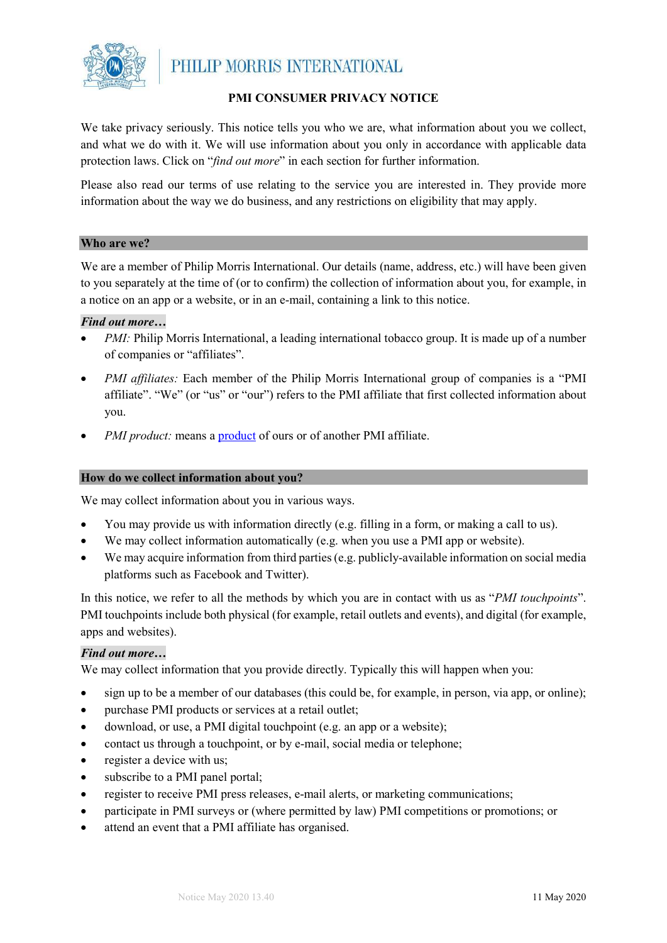

#### **PMI CONSUMER PRIVACY NOTICE**

We take privacy seriously. This notice tells you who we are, what information about you we collect, and what we do with it. We will use information about you only in accordance with applicable data protection laws. Click on "*find out more*" in each section for further information.

Please also read our terms of use relating to the service you are interested in. They provide more information about the way we do business, and any restrictions on eligibility that may apply.

#### **Who are we?**

We are a member of Philip Morris International. Our details (name, address, etc.) will have been given to you separately at the time of (or to confirm) the collection of information about you, for example, in a notice on an app or a website, or in an e-mail, containing a link to this notice.

#### *Find out more…*

- *PMI*: Philip Morris International, a leading international tobacco group. It is made up of a number of companies or "affiliates".
- *PMI affiliates:* Each member of the Philip Morris International group of companies is a "PMI affiliate". "We" (or "us" or "our") refers to the PMI affiliate that first collected information about you.
- *PMI product:* means a *product* of ours or of another PMI affiliate.

#### **How do we collect information about you?**

We may collect information about you in various ways.

- You may provide us with information directly (e.g. filling in a form, or making a call to us).
- We may collect information automatically (e.g. when you use a PMI app or website).
- We may acquire information from third parties (e.g. publicly-available information on social media platforms such as Facebook and Twitter).

In this notice, we refer to all the methods by which you are in contact with us as "*PMI touchpoints*". PMI touchpoints include both physical (for example, retail outlets and events), and digital (for example, apps and websites).

#### *Find out more…*

We may collect information that you provide directly. Typically this will happen when you:

- sign up to be a member of our databases (this could be, for example, in person, via app, or online);
- purchase PMI products or services at a retail outlet;
- download, or use, a PMI digital touchpoint (e.g. an app or a website);
- contact us through a touchpoint, or by e-mail, social media or telephone;
- register a device with us;
- subscribe to a PMI panel portal;
- register to receive PMI press releases, e-mail alerts, or marketing communications;
- participate in PMI surveys or (where permitted by law) PMI competitions or promotions; or
- attend an event that a PMI affiliate has organised.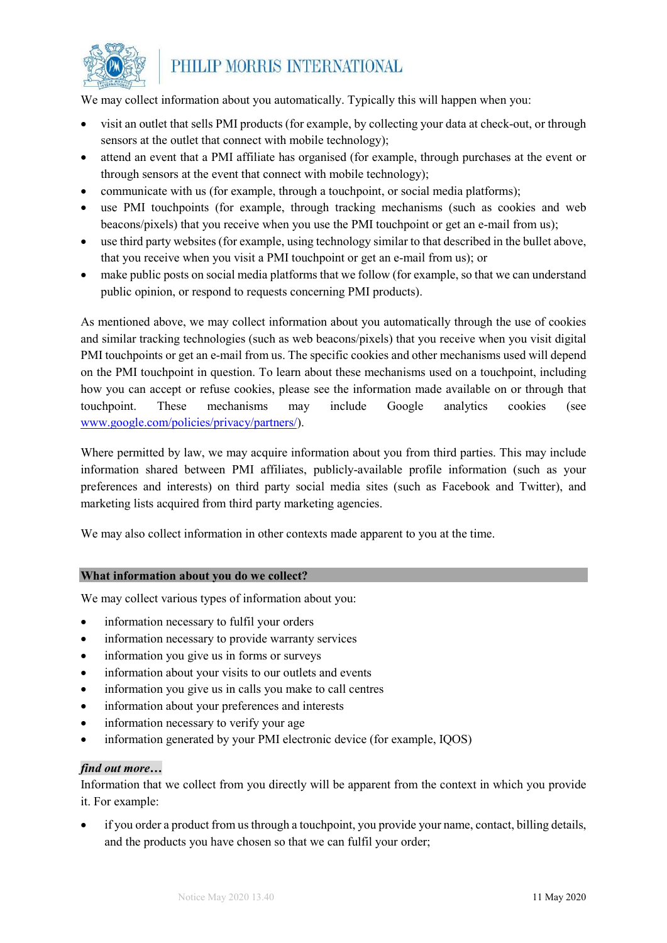

We may collect information about you automatically. Typically this will happen when you:

- visit an outlet that sells PMI products (for example, by collecting your data at check-out, or through sensors at the outlet that connect with mobile technology);
- attend an event that a PMI affiliate has organised (for example, through purchases at the event or through sensors at the event that connect with mobile technology);
- communicate with us (for example, through a touchpoint, or social media platforms);
- use PMI touchpoints (for example, through tracking mechanisms (such as cookies and web beacons/pixels) that you receive when you use the PMI touchpoint or get an e-mail from us);
- use third party websites (for example, using technology similar to that described in the bullet above, that you receive when you visit a PMI touchpoint or get an e-mail from us); or
- make public posts on social media platforms that we follow (for example, so that we can understand public opinion, or respond to requests concerning PMI products).

As mentioned above, we may collect information about you automatically through the use of cookies and similar tracking technologies (such as web beacons/pixels) that you receive when you visit digital PMI touchpoints or get an e-mail from us. The specific cookies and other mechanisms used will depend on the PMI touchpoint in question. To learn about these mechanisms used on a touchpoint, including how you can accept or refuse cookies, please see the information made available on or through that touchpoint. These mechanisms may include Google analytics cookies (see [www.google.com/policies/privacy/partners/\)](http://www.google.com/policies/privacy/partners/).

Where permitted by law, we may acquire information about you from third parties. This may include information shared between PMI affiliates, publicly-available profile information (such as your preferences and interests) on third party social media sites (such as Facebook and Twitter), and marketing lists acquired from third party marketing agencies.

We may also collect information in other contexts made apparent to you at the time.

#### **What information about you do we collect?**

We may collect various types of information about you:

- information necessary to fulfil your orders
- information necessary to provide warranty services
- information you give us in forms or surveys
- information about your visits to our outlets and events
- information you give us in calls you make to call centres
- information about your preferences and interests
- information necessary to verify your age
- information generated by your PMI electronic device (for example, IQOS)

#### *find out more…*

Information that we collect from you directly will be apparent from the context in which you provide it. For example:

• if you order a product from us through a touchpoint, you provide your name, contact, billing details, and the products you have chosen so that we can fulfil your order;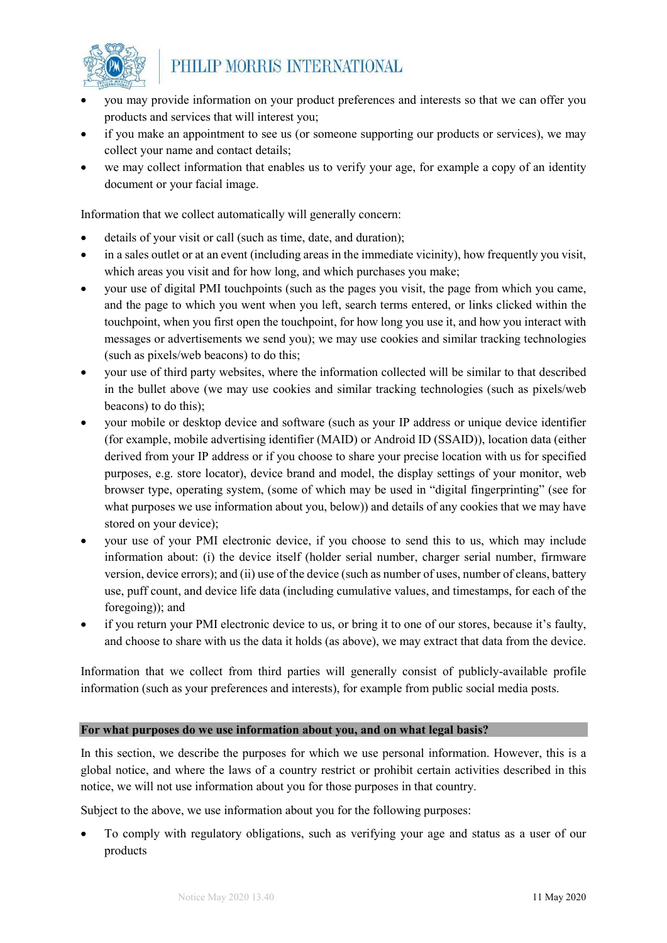

- you may provide information on your product preferences and interests so that we can offer you products and services that will interest you;
- if you make an appointment to see us (or someone supporting our products or services), we may collect your name and contact details;
- we may collect information that enables us to verify your age, for example a copy of an identity document or your facial image.

Information that we collect automatically will generally concern:

- details of your visit or call (such as time, date, and duration);
- in a sales outlet or at an event (including areas in the immediate vicinity), how frequently you visit, which areas you visit and for how long, and which purchases you make;
- your use of digital PMI touchpoints (such as the pages you visit, the page from which you came, and the page to which you went when you left, search terms entered, or links clicked within the touchpoint, when you first open the touchpoint, for how long you use it, and how you interact with messages or advertisements we send you); we may use cookies and similar tracking technologies (such as pixels/web beacons) to do this;
- your use of third party websites, where the information collected will be similar to that described in the bullet above (we may use cookies and similar tracking technologies (such as pixels/web beacons) to do this);
- your mobile or desktop device and software (such as your IP address or unique device identifier (for example, mobile advertising identifier (MAID) or Android ID (SSAID)), location data (either derived from your IP address or if you choose to share your precise location with us for specified purposes, e.g. store locator), device brand and model, the display settings of your monitor, web browser type, operating system, (some of which may be used in "digital fingerprinting" (see for what purposes we use information about you, below)) and details of any cookies that we may have stored on your device);
- your use of your PMI electronic device, if you choose to send this to us, which may include information about: (i) the device itself (holder serial number, charger serial number, firmware version, device errors); and (ii) use of the device (such as number of uses, number of cleans, battery use, puff count, and device life data (including cumulative values, and timestamps, for each of the foregoing)); and
- if you return your PMI electronic device to us, or bring it to one of our stores, because it's faulty, and choose to share with us the data it holds (as above), we may extract that data from the device.

Information that we collect from third parties will generally consist of publicly-available profile information (such as your preferences and interests), for example from public social media posts.

#### **For what purposes do we use information about you, and on what legal basis?**

In this section, we describe the purposes for which we use personal information. However, this is a global notice, and where the laws of a country restrict or prohibit certain activities described in this notice, we will not use information about you for those purposes in that country.

Subject to the above, we use information about you for the following purposes:

• To comply with regulatory obligations, such as verifying your age and status as a user of our products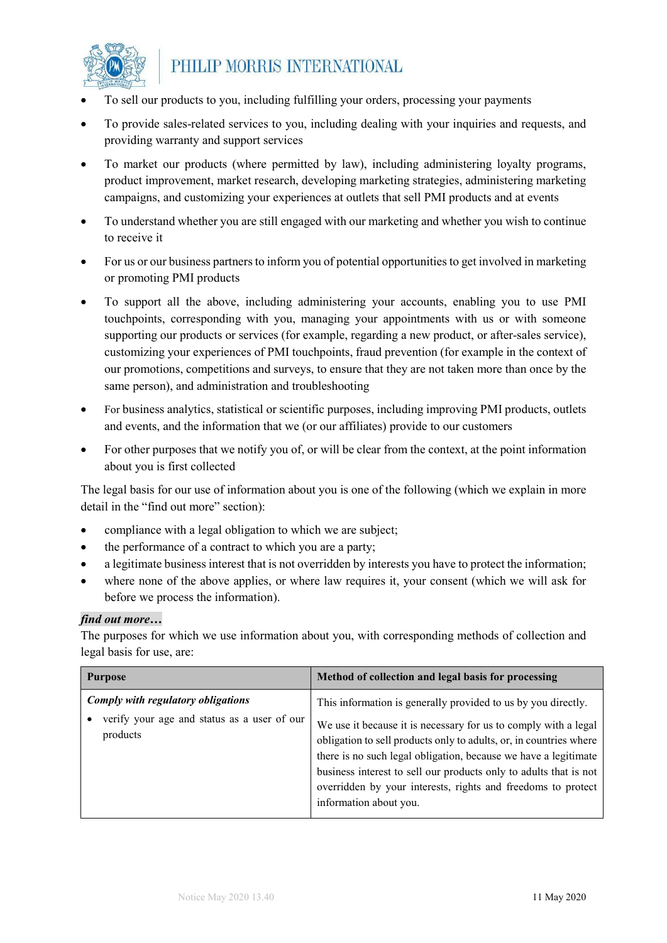

- To sell our products to you, including fulfilling your orders, processing your payments
- To provide sales-related services to you, including dealing with your inquiries and requests, and providing warranty and support services
- To market our products (where permitted by law), including administering loyalty programs, product improvement, market research, developing marketing strategies, administering marketing campaigns, and customizing your experiences at outlets that sell PMI products and at events
- To understand whether you are still engaged with our marketing and whether you wish to continue to receive it
- For us or our business partners to inform you of potential opportunities to get involved in marketing or promoting PMI products
- To support all the above, including administering your accounts, enabling you to use PMI touchpoints, corresponding with you, managing your appointments with us or with someone supporting our products or services (for example, regarding a new product, or after-sales service), customizing your experiences of PMI touchpoints, fraud prevention (for example in the context of our promotions, competitions and surveys, to ensure that they are not taken more than once by the same person), and administration and troubleshooting
- For business analytics, statistical or scientific purposes, including improving PMI products, outlets and events, and the information that we (or our affiliates) provide to our customers
- For other purposes that we notify you of, or will be clear from the context, at the point information about you is first collected

The legal basis for our use of information about you is one of the following (which we explain in more detail in the "find out more" section):

- compliance with a legal obligation to which we are subject;
- the performance of a contract to which you are a party;
- a legitimate business interest that is not overridden by interests you have to protect the information;
- where none of the above applies, or where law requires it, your consent (which we will ask for before we process the information).

#### *find out more…*

The purposes for which we use information about you, with corresponding methods of collection and legal basis for use, are:

| <b>Purpose</b>                                                                                | Method of collection and legal basis for processing                                                                                                                                                                                                                                                                                                                                                                                      |
|-----------------------------------------------------------------------------------------------|------------------------------------------------------------------------------------------------------------------------------------------------------------------------------------------------------------------------------------------------------------------------------------------------------------------------------------------------------------------------------------------------------------------------------------------|
| Comply with regulatory obligations<br>verify your age and status as a user of our<br>products | This information is generally provided to us by you directly.<br>We use it because it is necessary for us to comply with a legal<br>obligation to sell products only to adults, or, in countries where<br>there is no such legal obligation, because we have a legitimate<br>business interest to sell our products only to adults that is not<br>overridden by your interests, rights and freedoms to protect<br>information about you. |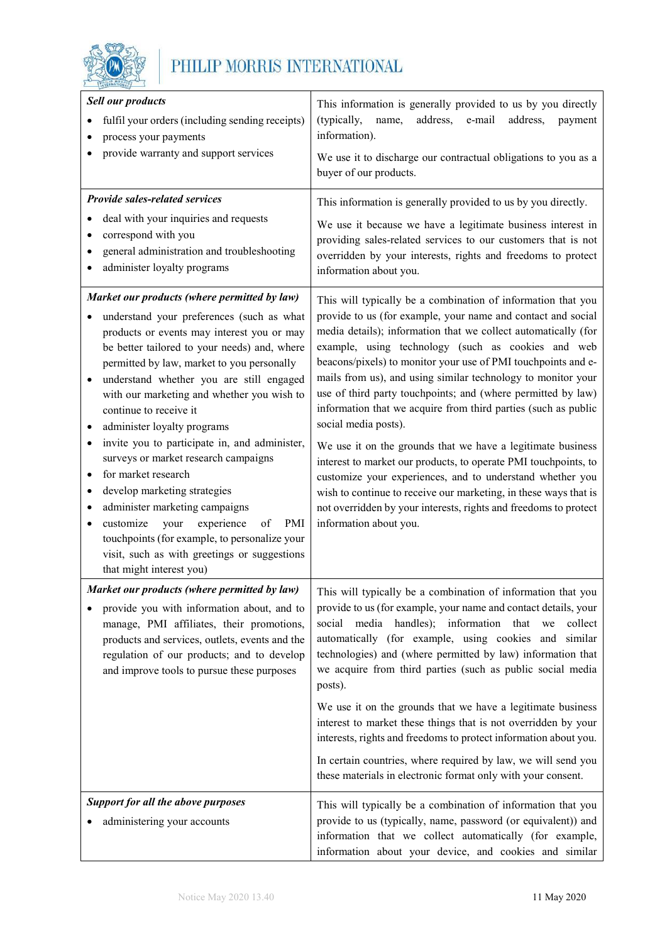

| <b>Sell our products</b><br>fulfil your orders (including sending receipts)<br>process your payments<br>provide warranty and support services                                                                                                                                                                                                                                                                                                                                                                                                                                                                                                                                                                                                                                       | This information is generally provided to us by you directly<br>(typically,<br>address,<br>e-mail<br>address,<br>name,<br>payment<br>information).<br>We use it to discharge our contractual obligations to you as a<br>buyer of our products.                                                                                                                                                                                                                                                                                                                                                                                                                                                                                                                                                                                                                                                                   |
|-------------------------------------------------------------------------------------------------------------------------------------------------------------------------------------------------------------------------------------------------------------------------------------------------------------------------------------------------------------------------------------------------------------------------------------------------------------------------------------------------------------------------------------------------------------------------------------------------------------------------------------------------------------------------------------------------------------------------------------------------------------------------------------|------------------------------------------------------------------------------------------------------------------------------------------------------------------------------------------------------------------------------------------------------------------------------------------------------------------------------------------------------------------------------------------------------------------------------------------------------------------------------------------------------------------------------------------------------------------------------------------------------------------------------------------------------------------------------------------------------------------------------------------------------------------------------------------------------------------------------------------------------------------------------------------------------------------|
| <b>Provide sales-related services</b><br>deal with your inquiries and requests<br>correspond with you<br>general administration and troubleshooting<br>administer loyalty programs                                                                                                                                                                                                                                                                                                                                                                                                                                                                                                                                                                                                  | This information is generally provided to us by you directly.<br>We use it because we have a legitimate business interest in<br>providing sales-related services to our customers that is not<br>overridden by your interests, rights and freedoms to protect<br>information about you.                                                                                                                                                                                                                                                                                                                                                                                                                                                                                                                                                                                                                          |
| Market our products (where permitted by law)<br>understand your preferences (such as what<br>products or events may interest you or may<br>be better tailored to your needs) and, where<br>permitted by law, market to you personally<br>understand whether you are still engaged<br>with our marketing and whether you wish to<br>continue to receive it<br>administer loyalty programs<br>invite you to participate in, and administer,<br>$\bullet$<br>surveys or market research campaigns<br>for market research<br>٠<br>develop marketing strategies<br>administer marketing campaigns<br>٠<br>experience<br>customize<br>PMI<br>your<br>of<br>٠<br>touchpoints (for example, to personalize your<br>visit, such as with greetings or suggestions<br>that might interest you) | This will typically be a combination of information that you<br>provide to us (for example, your name and contact and social<br>media details); information that we collect automatically (for<br>example, using technology (such as cookies and web<br>beacons/pixels) to monitor your use of PMI touchpoints and e-<br>mails from us), and using similar technology to monitor your<br>use of third party touchpoints; and (where permitted by law)<br>information that we acquire from third parties (such as public<br>social media posts).<br>We use it on the grounds that we have a legitimate business<br>interest to market our products, to operate PMI touchpoints, to<br>customize your experiences, and to understand whether you<br>wish to continue to receive our marketing, in these ways that is<br>not overridden by your interests, rights and freedoms to protect<br>information about you. |
| Market our products (where permitted by law)<br>provide you with information about, and to<br>manage, PMI affiliates, their promotions,<br>products and services, outlets, events and the<br>regulation of our products; and to develop<br>and improve tools to pursue these purposes                                                                                                                                                                                                                                                                                                                                                                                                                                                                                               | This will typically be a combination of information that you<br>provide to us (for example, your name and contact details, your<br>social media handles); information that we<br>collect<br>automatically (for example, using cookies and similar<br>technologies) and (where permitted by law) information that<br>we acquire from third parties (such as public social media<br>posts).<br>We use it on the grounds that we have a legitimate business<br>interest to market these things that is not overridden by your<br>interests, rights and freedoms to protect information about you.<br>In certain countries, where required by law, we will send you<br>these materials in electronic format only with your consent.                                                                                                                                                                                  |
| <b>Support for all the above purposes</b><br>administering your accounts                                                                                                                                                                                                                                                                                                                                                                                                                                                                                                                                                                                                                                                                                                            | This will typically be a combination of information that you<br>provide to us (typically, name, password (or equivalent)) and<br>information that we collect automatically (for example,<br>information about your device, and cookies and similar                                                                                                                                                                                                                                                                                                                                                                                                                                                                                                                                                                                                                                                               |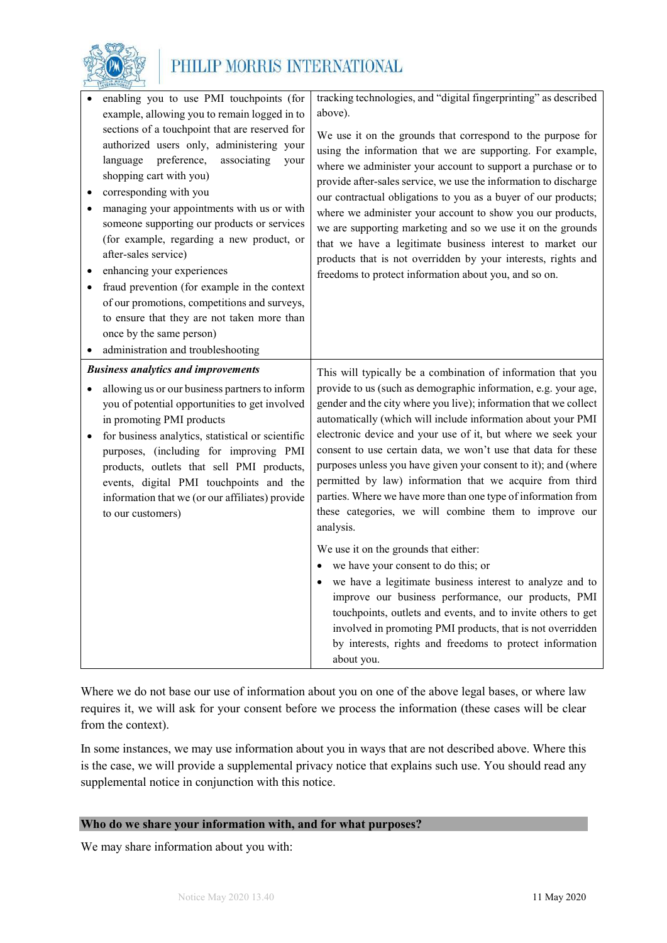

| enabling you to use PMI touchpoints (for<br>example, allowing you to remain logged in to<br>sections of a touchpoint that are reserved for<br>authorized users only, administering your<br>preference,<br>language<br>associating<br>your<br>shopping cart with you)<br>corresponding with you<br>managing your appointments with us or with<br>someone supporting our products or services<br>(for example, regarding a new product, or<br>after-sales service) | tracking technologies, and "digital fingerprinting" as described<br>above).<br>We use it on the grounds that correspond to the purpose for<br>using the information that we are supporting. For example,<br>where we administer your account to support a purchase or to<br>provide after-sales service, we use the information to discharge<br>our contractual obligations to you as a buyer of our products;<br>where we administer your account to show you our products,<br>we are supporting marketing and so we use it on the grounds<br>that we have a legitimate business interest to market our<br>products that is not overridden by your interests, rights and |
|------------------------------------------------------------------------------------------------------------------------------------------------------------------------------------------------------------------------------------------------------------------------------------------------------------------------------------------------------------------------------------------------------------------------------------------------------------------|---------------------------------------------------------------------------------------------------------------------------------------------------------------------------------------------------------------------------------------------------------------------------------------------------------------------------------------------------------------------------------------------------------------------------------------------------------------------------------------------------------------------------------------------------------------------------------------------------------------------------------------------------------------------------|
| enhancing your experiences<br>fraud prevention (for example in the context<br>of our promotions, competitions and surveys,<br>to ensure that they are not taken more than<br>once by the same person)<br>administration and troubleshooting                                                                                                                                                                                                                      | freedoms to protect information about you, and so on.                                                                                                                                                                                                                                                                                                                                                                                                                                                                                                                                                                                                                     |
| <b>Business analytics and improvements</b><br>allowing us or our business partners to inform<br>you of potential opportunities to get involved<br>in promoting PMI products<br>for business analytics, statistical or scientific<br>purposes, (including for improving PMI<br>products, outlets that sell PMI products,<br>events, digital PMI touchpoints and the<br>information that we (or our affiliates) provide<br>to our customers)                       | This will typically be a combination of information that you<br>provide to us (such as demographic information, e.g. your age,<br>gender and the city where you live); information that we collect<br>automatically (which will include information about your PMI<br>electronic device and your use of it, but where we seek your<br>consent to use certain data, we won't use that data for these<br>purposes unless you have given your consent to it); and (where<br>permitted by law) information that we acquire from third<br>parties. Where we have more than one type of information from<br>these categories, we will combine them to improve our<br>analysis.  |
|                                                                                                                                                                                                                                                                                                                                                                                                                                                                  | We use it on the grounds that either:<br>we have your consent to do this; or<br>we have a legitimate business interest to analyze and to<br>improve our business performance, our products, PMI<br>touchpoints, outlets and events, and to invite others to get<br>involved in promoting PMI products, that is not overridden<br>by interests, rights and freedoms to protect information<br>about you.                                                                                                                                                                                                                                                                   |

Where we do not base our use of information about you on one of the above legal bases, or where law requires it, we will ask for your consent before we process the information (these cases will be clear from the context).

In some instances, we may use information about you in ways that are not described above. Where this is the case, we will provide a supplemental privacy notice that explains such use. You should read any supplemental notice in conjunction with this notice.

#### **Who do we share your information with, and for what purposes?**

We may share information about you with: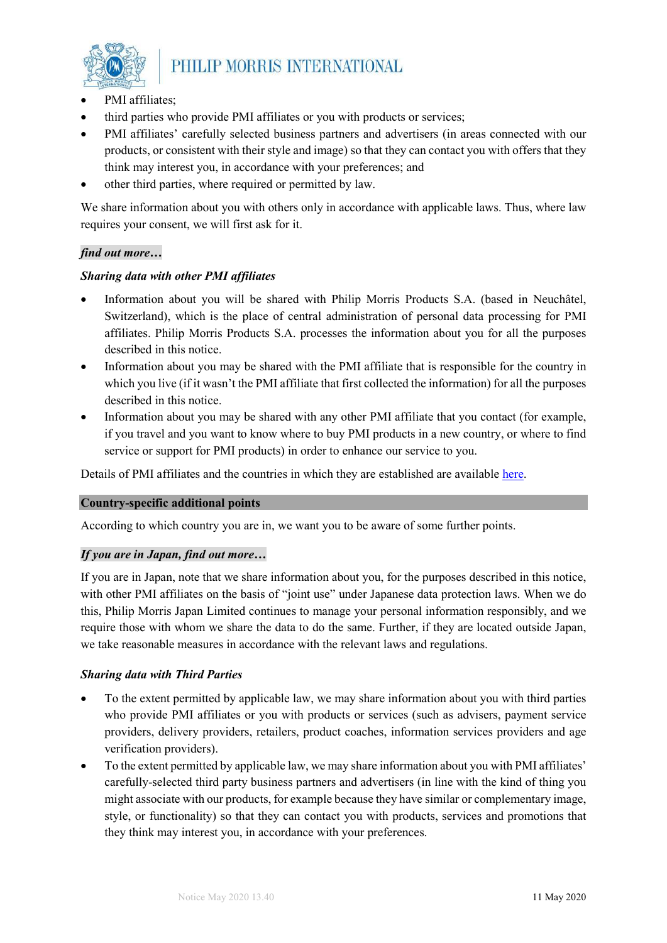

- PMI affiliates;
- third parties who provide PMI affiliates or you with products or services;
- PMI affiliates' carefully selected business partners and advertisers (in areas connected with our products, or consistent with their style and image) so that they can contact you with offers that they think may interest you, in accordance with your preferences; and
- other third parties, where required or permitted by law.

We share information about you with others only in accordance with applicable laws. Thus, where law requires your consent, we will first ask for it.

#### *find out more…*

#### *Sharing data with other PMI affiliates*

- Information about you will be shared with Philip Morris Products S.A. (based in Neuchâtel, Switzerland), which is the place of central administration of personal data processing for PMI affiliates. Philip Morris Products S.A. processes the information about you for all the purposes described in this notice.
- Information about you may be shared with the PMI affiliate that is responsible for the country in which you live (if it wasn't the PMI affiliate that first collected the information) for all the purposes described in this notice.
- Information about you may be shared with any other PMI affiliate that you contact (for example, if you travel and you want to know where to buy PMI products in a new country, or where to find service or support for PMI products) in order to enhance our service to you.

Details of PMI affiliates and the countries in which they are established are available [here.](https://www.pmiprivacy.com/en/consumer/affiliates)

#### **Country-specific additional points**

According to which country you are in, we want you to be aware of some further points.

#### *If you are in Japan, find out more…*

If you are in Japan, note that we share information about you, for the purposes described in this notice, with other PMI affiliates on the basis of "joint use" under Japanese data protection laws. When we do this, Philip Morris Japan Limited continues to manage your personal information responsibly, and we require those with whom we share the data to do the same. Further, if they are located outside Japan, we take reasonable measures in accordance with the relevant laws and regulations.

#### *Sharing data with Third Parties*

- To the extent permitted by applicable law, we may share information about you with third parties who provide PMI affiliates or you with products or services (such as advisers, payment service providers, delivery providers, retailers, product coaches, information services providers and age verification providers).
- To the extent permitted by applicable law, we may share information about you with PMI affiliates' carefully-selected third party business partners and advertisers (in line with the kind of thing you might associate with our products, for example because they have similar or complementary image, style, or functionality) so that they can contact you with products, services and promotions that they think may interest you, in accordance with your preferences.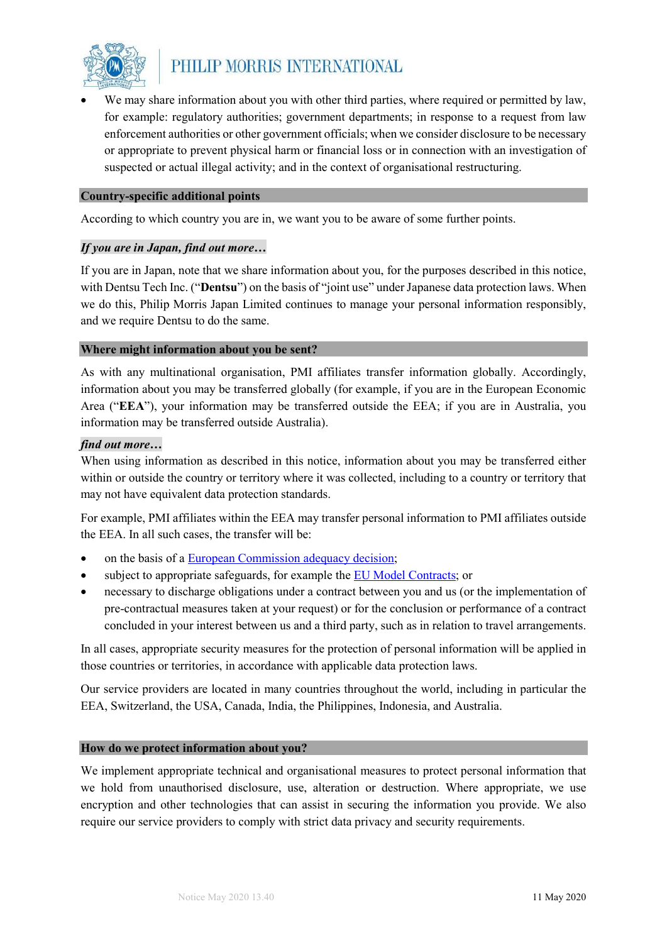

• We may share information about you with other third parties, where required or permitted by law, for example: regulatory authorities; government departments; in response to a request from law enforcement authorities or other government officials; when we consider disclosure to be necessary or appropriate to prevent physical harm or financial loss or in connection with an investigation of suspected or actual illegal activity; and in the context of organisational restructuring.

#### **Country-specific additional points**

According to which country you are in, we want you to be aware of some further points.

#### *If you are in Japan, find out more…*

If you are in Japan, note that we share information about you, for the purposes described in this notice, with Dentsu Tech Inc. ("**Dentsu**") on the basis of "joint use" under Japanese data protection laws. When we do this, Philip Morris Japan Limited continues to manage your personal information responsibly, and we require Dentsu to do the same.

#### **Where might information about you be sent?**

As with any multinational organisation, PMI affiliates transfer information globally. Accordingly, information about you may be transferred globally (for example, if you are in the European Economic Area ("**EEA**"), your information may be transferred outside the EEA; if you are in Australia, you information may be transferred outside Australia).

#### *find out more…*

When using information as described in this notice, information about you may be transferred either within or outside the country or territory where it was collected, including to a country or territory that may not have equivalent data protection standards.

For example, PMI affiliates within the EEA may transfer personal information to PMI affiliates outside the EEA. In all such cases, the transfer will be:

- on the basis of a [European Commission adequacy decision;](https://ec.europa.eu/info/law/law-topic/data-protection/data-transfers-outside-eu/adequacy-protection-personal-data-non-eu-countries_en#dataprotectionincountriesoutsidetheeu)
- subject to appropriate safeguards, for example th[e EU Model Contracts;](https://ec.europa.eu/info/law/law-topic/data-protection/data-transfers-outside-eu/model-contracts-transfer-personal-data-third-countries_en) or
- necessary to discharge obligations under a contract between you and us (or the implementation of pre-contractual measures taken at your request) or for the conclusion or performance of a contract concluded in your interest between us and a third party, such as in relation to travel arrangements.

In all cases, appropriate security measures for the protection of personal information will be applied in those countries or territories, in accordance with applicable data protection laws.

Our service providers are located in many countries throughout the world, including in particular the EEA, Switzerland, the USA, Canada, India, the Philippines, Indonesia, and Australia.

#### **How do we protect information about you?**

We implement appropriate technical and organisational measures to protect personal information that we hold from unauthorised disclosure, use, alteration or destruction. Where appropriate, we use encryption and other technologies that can assist in securing the information you provide. We also require our service providers to comply with strict data privacy and security requirements.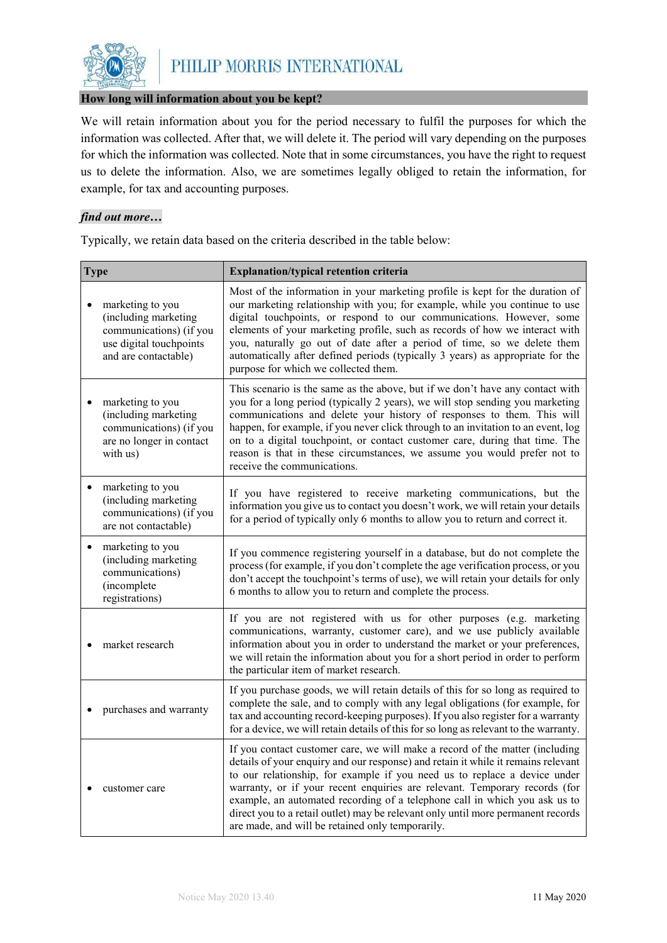

#### **How long will information about you be kept?**

We will retain information about you for the period necessary to fulfil the purposes for which the information was collected. After that, we will delete it. The period will vary depending on the purposes for which the information was collected. Note that in some circumstances, you have the right to request us to delete the information. Also, we are sometimes legally obliged to retain the information, for example, for tax and accounting purposes.

#### *find out more…*

Typically, we retain data based on the criteria described in the table below:

| <b>Type</b>                                                                                                            | <b>Explanation/typical retention criteria</b>                                                                                                                                                                                                                                                                                                                                                                                                                                                                                                      |
|------------------------------------------------------------------------------------------------------------------------|----------------------------------------------------------------------------------------------------------------------------------------------------------------------------------------------------------------------------------------------------------------------------------------------------------------------------------------------------------------------------------------------------------------------------------------------------------------------------------------------------------------------------------------------------|
| marketing to you<br>(including marketing<br>communications) (if you<br>use digital touchpoints<br>and are contactable) | Most of the information in your marketing profile is kept for the duration of<br>our marketing relationship with you; for example, while you continue to use<br>digital touchpoints, or respond to our communications. However, some<br>elements of your marketing profile, such as records of how we interact with<br>you, naturally go out of date after a period of time, so we delete them<br>automatically after defined periods (typically 3 years) as appropriate for the<br>purpose for which we collected them.                           |
| marketing to you<br>(including marketing<br>communications) (if you<br>are no longer in contact<br>with us)            | This scenario is the same as the above, but if we don't have any contact with<br>you for a long period (typically 2 years), we will stop sending you marketing<br>communications and delete your history of responses to them. This will<br>happen, for example, if you never click through to an invitation to an event, log<br>on to a digital touchpoint, or contact customer care, during that time. The<br>reason is that in these circumstances, we assume you would prefer not to<br>receive the communications.                            |
| marketing to you<br>(including marketing<br>communications) (if you<br>are not contactable)                            | If you have registered to receive marketing communications, but the<br>information you give us to contact you doesn't work, we will retain your details<br>for a period of typically only 6 months to allow you to return and correct it.                                                                                                                                                                                                                                                                                                          |
| marketing to you<br>$\bullet$<br>(including marketing<br>communications)<br>(incomplete<br>registrations)              | If you commence registering yourself in a database, but do not complete the<br>process (for example, if you don't complete the age verification process, or you<br>don't accept the touchpoint's terms of use), we will retain your details for only<br>6 months to allow you to return and complete the process.                                                                                                                                                                                                                                  |
| market research                                                                                                        | If you are not registered with us for other purposes (e.g. marketing<br>communications, warranty, customer care), and we use publicly available<br>information about you in order to understand the market or your preferences,<br>we will retain the information about you for a short period in order to perform<br>the particular item of market research.                                                                                                                                                                                      |
| purchases and warranty                                                                                                 | If you purchase goods, we will retain details of this for so long as required to<br>complete the sale, and to comply with any legal obligations (for example, for<br>tax and accounting record-keeping purposes). If you also register for a warranty<br>for a device, we will retain details of this for so long as relevant to the warranty.                                                                                                                                                                                                     |
| customer care                                                                                                          | If you contact customer care, we will make a record of the matter (including<br>details of your enquiry and our response) and retain it while it remains relevant<br>to our relationship, for example if you need us to replace a device under<br>warranty, or if your recent enquiries are relevant. Temporary records (for<br>example, an automated recording of a telephone call in which you ask us to<br>direct you to a retail outlet) may be relevant only until more permanent records<br>are made, and will be retained only temporarily. |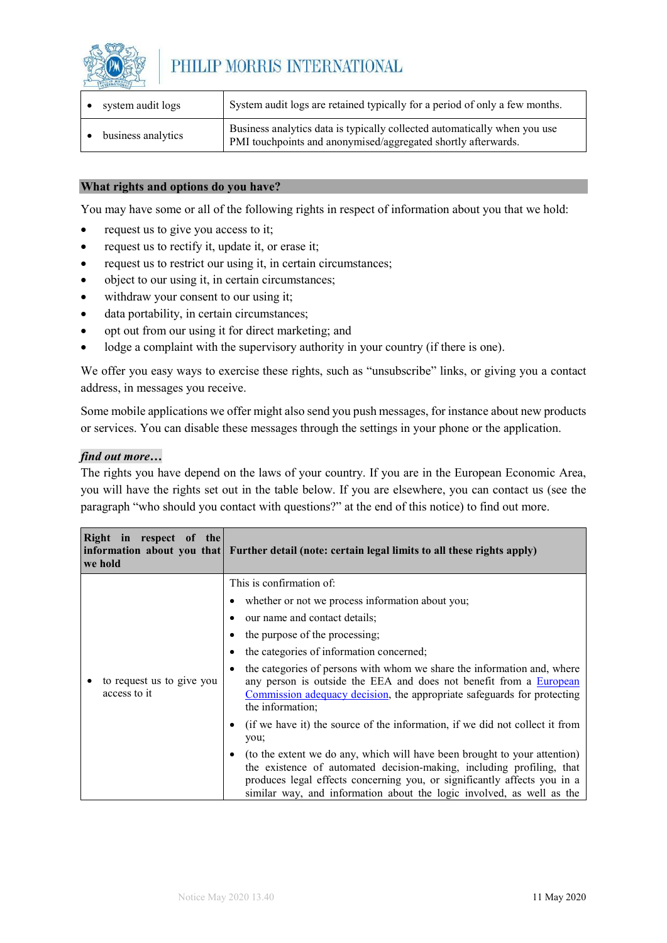

| system audit logs  | System audit logs are retained typically for a period of only a few months.                                                                |
|--------------------|--------------------------------------------------------------------------------------------------------------------------------------------|
| business analytics | Business analytics data is typically collected automatically when you use<br>PMI touchpoints and anonymised/aggregated shortly afterwards. |

#### **What rights and options do you have?**

You may have some or all of the following rights in respect of information about you that we hold:

- request us to give you access to it:
- request us to rectify it, update it, or erase it;
- request us to restrict our using it, in certain circumstances;
- object to our using it, in certain circumstances;
- withdraw your consent to our using it;
- data portability, in certain circumstances;
- opt out from our using it for direct marketing; and
- lodge a complaint with the supervisory authority in your country (if there is one).

We offer you easy ways to exercise these rights, such as "unsubscribe" links, or giving you a contact address, in messages you receive.

Some mobile applications we offer might also send you push messages, for instance about new products or services. You can disable these messages through the settings in your phone or the application.

#### *find out more…*

The rights you have depend on the laws of your country. If you are in the European Economic Area, you will have the rights set out in the table below. If you are elsewhere, you can contact us (see the paragraph "who should you contact with questions?" at the end of this notice) to find out more.

| Right in respect of the<br>we hold        | information about you that $\mathbf{F}$ Further detail (note: certain legal limits to all these rights apply)                                                                                                                                                                                                                                                                                                                                                                                                                                                                                                                                                                                                                                                                                                                                  |
|-------------------------------------------|------------------------------------------------------------------------------------------------------------------------------------------------------------------------------------------------------------------------------------------------------------------------------------------------------------------------------------------------------------------------------------------------------------------------------------------------------------------------------------------------------------------------------------------------------------------------------------------------------------------------------------------------------------------------------------------------------------------------------------------------------------------------------------------------------------------------------------------------|
| to request us to give you<br>access to it | This is confirmation of:<br>whether or not we process information about you;<br>our name and contact details;<br>the purpose of the processing;<br>the categories of information concerned;<br>the categories of persons with whom we share the information and, where<br>any person is outside the EEA and does not benefit from a European<br>Commission adequacy decision, the appropriate safeguards for protecting<br>the information;<br>(if we have it) the source of the information, if we did not collect it from<br>you;<br>(to the extent we do any, which will have been brought to your attention)<br>the existence of automated decision-making, including profiling, that<br>produces legal effects concerning you, or significantly affects you in a<br>similar way, and information about the logic involved, as well as the |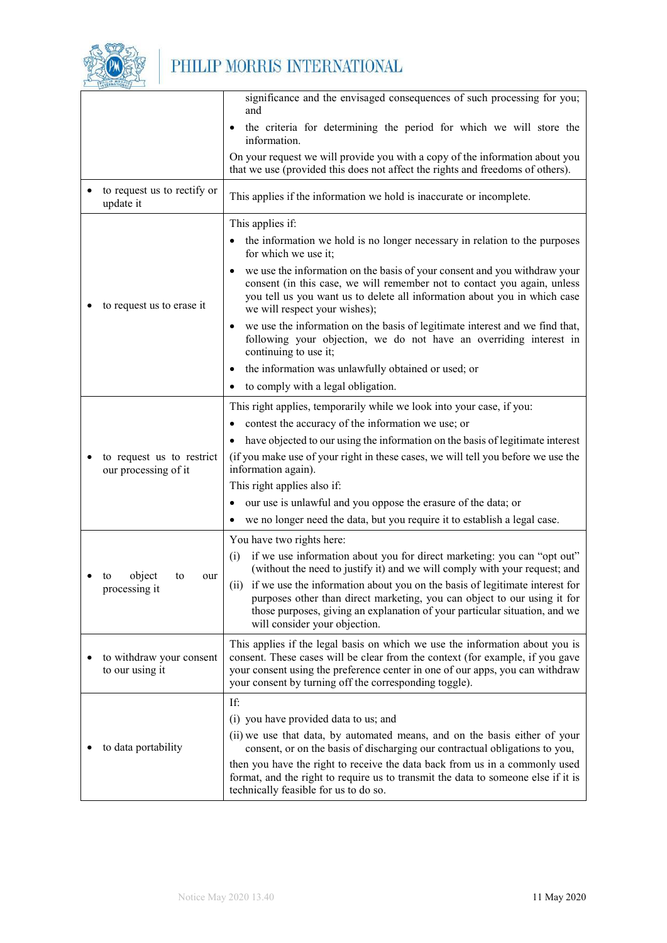

|                                                   | significance and the envisaged consequences of such processing for you;<br>and                                                                                                                                                                                                                           |
|---------------------------------------------------|----------------------------------------------------------------------------------------------------------------------------------------------------------------------------------------------------------------------------------------------------------------------------------------------------------|
|                                                   | the criteria for determining the period for which we will store the<br>information.                                                                                                                                                                                                                      |
|                                                   | On your request we will provide you with a copy of the information about you<br>that we use (provided this does not affect the rights and freedoms of others).                                                                                                                                           |
| to request us to rectify or<br>update it          | This applies if the information we hold is inaccurate or incomplete.                                                                                                                                                                                                                                     |
|                                                   | This applies if:                                                                                                                                                                                                                                                                                         |
|                                                   | the information we hold is no longer necessary in relation to the purposes<br>for which we use it;                                                                                                                                                                                                       |
| to request us to erase it                         | we use the information on the basis of your consent and you withdraw your<br>consent (in this case, we will remember not to contact you again, unless<br>you tell us you want us to delete all information about you in which case<br>we will respect your wishes);                                      |
|                                                   | we use the information on the basis of legitimate interest and we find that,<br>following your objection, we do not have an overriding interest in<br>continuing to use it;                                                                                                                              |
|                                                   | the information was unlawfully obtained or used; or                                                                                                                                                                                                                                                      |
|                                                   | to comply with a legal obligation.                                                                                                                                                                                                                                                                       |
|                                                   | This right applies, temporarily while we look into your case, if you:                                                                                                                                                                                                                                    |
|                                                   | contest the accuracy of the information we use; or                                                                                                                                                                                                                                                       |
|                                                   | have objected to our using the information on the basis of legitimate interest                                                                                                                                                                                                                           |
| to request us to restrict<br>our processing of it | (if you make use of your right in these cases, we will tell you before we use the<br>information again).                                                                                                                                                                                                 |
|                                                   | This right applies also if:                                                                                                                                                                                                                                                                              |
|                                                   | our use is unlawful and you oppose the erasure of the data; or                                                                                                                                                                                                                                           |
|                                                   | we no longer need the data, but you require it to establish a legal case.                                                                                                                                                                                                                                |
|                                                   | You have two rights here:                                                                                                                                                                                                                                                                                |
| object<br>to<br>to<br>our                         | if we use information about you for direct marketing: you can "opt out"<br>(i)<br>(without the need to justify it) and we will comply with your request; and                                                                                                                                             |
| processing it                                     | (ii) if we use the information about you on the basis of legitimate interest for<br>purposes other than direct marketing, you can object to our using it for<br>those purposes, giving an explanation of your particular situation, and we<br>will consider your objection.                              |
| to withdraw your consent<br>to our using it       | This applies if the legal basis on which we use the information about you is<br>consent. These cases will be clear from the context (for example, if you gave<br>your consent using the preference center in one of our apps, you can withdraw<br>your consent by turning off the corresponding toggle). |
|                                                   | If:                                                                                                                                                                                                                                                                                                      |
|                                                   | (i) you have provided data to us; and                                                                                                                                                                                                                                                                    |
| to data portability                               | (ii) we use that data, by automated means, and on the basis either of your<br>consent, or on the basis of discharging our contractual obligations to you,                                                                                                                                                |
|                                                   | then you have the right to receive the data back from us in a commonly used<br>format, and the right to require us to transmit the data to someone else if it is<br>technically feasible for us to do so.                                                                                                |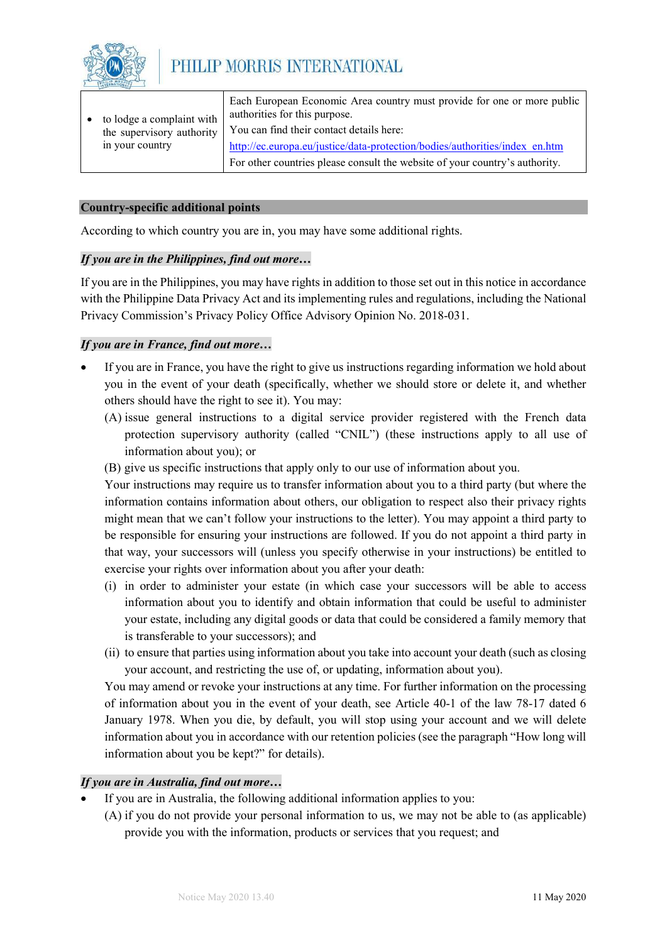

| to lodge a complaint with | Each European Economic Area country must provide for one or more public<br>authorities for this purpose. |
|---------------------------|----------------------------------------------------------------------------------------------------------|
| the supervisory authority | You can find their contact details here:                                                                 |
| in your country           | http://ec.europa.eu/justice/data-protection/bodies/authorities/index en.htm                              |
|                           | For other countries please consult the website of your country's authority.                              |

#### **Country-specific additional points**

According to which country you are in, you may have some additional rights.

#### *If you are in the Philippines, find out more…*

If you are in the Philippines, you may have rights in addition to those set out in this notice in accordance with the Philippine Data Privacy Act and its implementing rules and regulations, including the National Privacy Commission's Privacy Policy Office Advisory Opinion No. 2018-031.

#### *If you are in France, find out more…*

- If you are in France, you have the right to give us instructions regarding information we hold about you in the event of your death (specifically, whether we should store or delete it, and whether others should have the right to see it). You may:
	- (A) issue general instructions to a digital service provider registered with the French data protection supervisory authority (called "CNIL") (these instructions apply to all use of information about you); or
	- (B) give us specific instructions that apply only to our use of information about you.

Your instructions may require us to transfer information about you to a third party (but where the information contains information about others, our obligation to respect also their privacy rights might mean that we can't follow your instructions to the letter). You may appoint a third party to be responsible for ensuring your instructions are followed. If you do not appoint a third party in that way, your successors will (unless you specify otherwise in your instructions) be entitled to exercise your rights over information about you after your death:

- (i) in order to administer your estate (in which case your successors will be able to access information about you to identify and obtain information that could be useful to administer your estate, including any digital goods or data that could be considered a family memory that is transferable to your successors); and
- (ii) to ensure that parties using information about you take into account your death (such as closing your account, and restricting the use of, or updating, information about you).

You may amend or revoke your instructions at any time. For further information on the processing of information about you in the event of your death, see Article 40-1 of the law 78-17 dated 6 January 1978. When you die, by default, you will stop using your account and we will delete information about you in accordance with our retention policies (see the paragraph "How long will information about you be kept?" for details).

#### *If you are in Australia, find out more…*

- If you are in Australia, the following additional information applies to you:
	- (A) if you do not provide your personal information to us, we may not be able to (as applicable) provide you with the information, products or services that you request; and